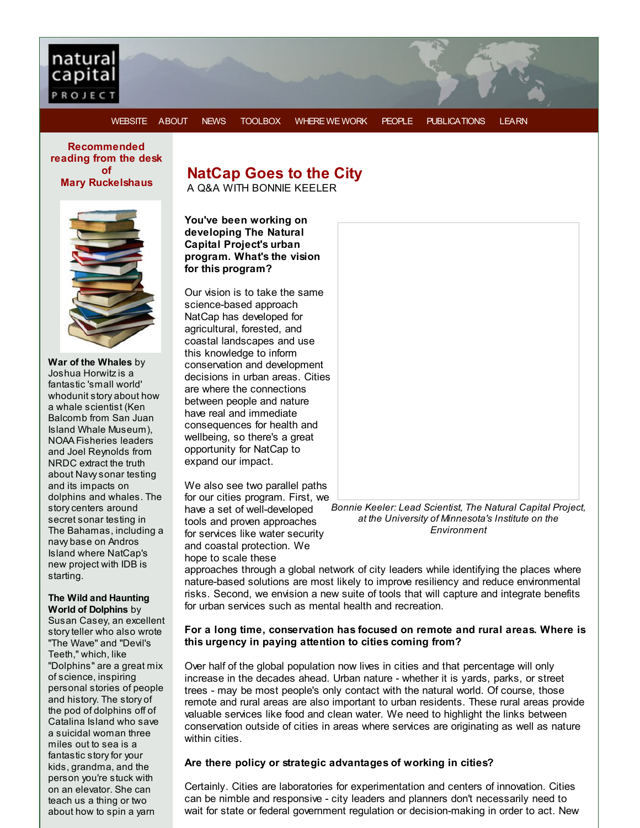

[WEBSITE](http://r20.rs6.net/tn.jsp?f=001a9EaJdokuUFZTSzpkXsAXIZ3RBI3Rd-deeoB3gO8ZnfD1VqXJTfGQ6tByOyQggrI47q3tEAsJNIOE38-10QDSMDf-o6e8bh4YfdBg6P5vM4L7p39PlT_trVCEDSHz7xBG1-UgOUB1XIXaeSs6_UHRCGZZ9R-6GYjZvg-uZscVSzERm8lfHqhx06oQxSpa95L4TOnCpUKPyTYH5h3bsb0EmZOX__Mh7DvJ2mjrYjKBLWAm9_4GGNmupyXRZYDS_PlM82VkuJu5eM5XSlk45H91NeANLLxxbBqlRyv_yBabeMEhiED9BF-GpHR3_T2iXjI&c=&ch=) [ABOUT](http://r20.rs6.net/tn.jsp?f=001a9EaJdokuUFZTSzpkXsAXIZ3RBI3Rd-deeoB3gO8ZnfD1VqXJTfGQzNo-UNnPjho0n2I5ISha7fBd3fOgpoVJKyoGR40N_AeMaC3ZVGlRuNz_quJRvPM1JG_1oaBYQrynX6lmDyZDyD9sC5SFdcEsFllOUhp7R9wVobK3jH2-1pPSICvgdrX5Qt6EHLqjG9rE9JqRlWIBsh3AMsExaqoqm4ViwvcYmms54Eb35wdqAI0P5YX9Gbjau3YzRjI3kSulM3FsCUL9s7ser0bDaH1dBlkvY6Pq5mLLSC7EQPzUAcZ-DaJQLiJlQqePtvMZa9skFqFgTUe_wCHAm0Fs5BmCg==&c=&ch=) [NEWS](http://r20.rs6.net/tn.jsp?f=001a9EaJdokuUFZTSzpkXsAXIZ3RBI3Rd-deeoB3gO8ZnfD1VqXJTfGQ962HwEi11HTu22xJxHmjCE9RmdBEYNjIuzN8QInC-XQlwc7dQCpmhREpa0LyvvKJ9huEeGlBxp6s82_i0mrfXHFnjBPlWJmz__d5zV3Gq6Z_RLXluSylVt8LQ6xmOmZpEU7E1gLUnom5RCiTnZDxbg9bLmgqSoR0ACZVj8Borq2iugn22SzSotI7IAacx6SJ5FugXRZqrNhqTmzD6mv34JNWC0XSMCbKN8TRqxZroFfoahoiVq96BgV7e5fZGse2sVyY3mTiehccsacnGjnllk=&c=&ch=) [TOOLBOX](http://r20.rs6.net/tn.jsp?f=001a9EaJdokuUFZTSzpkXsAXIZ3RBI3Rd-deeoB3gO8ZnfD1VqXJTfGQzNo-UNnPjho1geRE_fKT_YForIGVwHJ3m4duQPRQUyLHluePMQL7UCM44ricJvrQK8y6mduozcxc-uqFPUXo4xcDHcX0LgpswCFaRoKnxUNUG8VhPZulyIBUP-6jt066bXUDXttsVBYVfZdpZXaXciSTmMKwkBZHzOdm70Y97HunsEeunEg5CC5k6UZmsVpNObKIfAmq5y0-PaoGssjk6YekorWq-EtH0o4jBUmNdUvuGXyjkmF3DByfDkjwaVpqMN8v5m50i_fvALkl_4EA9L4vq1tTpNulg==&c=&ch=) [WHERE](http://r20.rs6.net/tn.jsp?f=001a9EaJdokuUFZTSzpkXsAXIZ3RBI3Rd-deeoB3gO8ZnfD1VqXJTfGQ962HwEi11HT_OtmK8Ja6zud6s4umaL0ODOaUQygF5mBLkWiVAfx5dPleCd71AGGNEp7cC9kZOcv9M-fEshyS7xosKVPJ1H54_nTbiUL2Gtzw-PIJ7Lmhfvj-W1ZqLLk5M0OethE472H_gyaqtafG5foPHx8DS8_m30lNk8dS31YeBKKBMyXla_rVP9GvYkIsSmlz6_CVOmKbQwp0ieorB_qgpoMcLSJyVtTLClJOlAXCBeEYfWSBiSycVmbzfh_1LjXBXSmrag-X378VQqnwGn31uRB6hUTJUnmWLnFbeOE&c=&ch=) WE WORK [PEOPLE](http://r20.rs6.net/tn.jsp?f=001a9EaJdokuUFZTSzpkXsAXIZ3RBI3Rd-deeoB3gO8ZnfD1VqXJTfGQzNo-UNnPjhoyCpVUC8A5WTMSngf3DlcaR8OUD-ac26f51Fy8M56Q1tvng09PqsIi-__YqPeZvDIkaF7eeDSLBvDmwrjhAW5U5nX6Tz_B62Zcy2l3On-yT5BOcqpCKTt1Qw1jHc4IjmcP88jUJgBe1HBrQjv6HhRcqwsiLZfF50WUfnw5wLCGiuofaTbKypmlceQRv9vqD6yBsIrLSSB7-74l1ptykMIAWqfSBDZjgX0CAP_FUId1ykdmBCLpzg3pqw395v76PsNVui9yZDS9PQz9Kdj1Pgf8A==&c=&ch=) [PUBLICATIONS](http://r20.rs6.net/tn.jsp?f=001a9EaJdokuUFZTSzpkXsAXIZ3RBI3Rd-deeoB3gO8ZnfD1VqXJTfGQzNo-UNnPjhotw70xwPztnXalF5FBmH6eJQvT2ABm1pVVe6RxIUnh4D08x-ymFab2nww1-zHylfzRvgS4foKLqkh3lIgEiWqLzPSvgoksGHeSYMYGVsZNp-kTwKmHAETAhIFF0npC6MC0MICZbfB2GZ9mCOfzbj8rry5C2iN1phLzQ4-s-AnkYtnqwafWn4zKTj4U_RRFagSHa7xJcvX_6MFROSq6gI7CvquA5t9xnhx_Avn70BJAJMwhI94S2BWJkcp8A_HBa4Ct3YwNJNYEAuEYqTcYqKi0wogVL5vOJzF&c=&ch=) [LEARN](http://r20.rs6.net/tn.jsp?f=001a9EaJdokuUFZTSzpkXsAXIZ3RBI3Rd-deeoB3gO8ZnfD1VqXJTfGQzOYbN9R6m4G4HRWFes7I4x1gjYGDLg-ZD6EUrAVuEuYKUTtAdPI0Z_ikAx5wh5DL10h77Bmv33ran1g4TI8RCT1zmqkmckRNddwNz3t9YRJcB9RQxhq3qZFW5GAansfevqcKeBc8aOZCa-yQsJ2Ryt8RbkPGRez4sLeM1VNuwdYipw-ZntISX46Im-T0JQsURANja1AXbSyl_tfCPwmonxJZ7puv_s_CDbihErHXpd0THzsnHGXHP1mjNpJeL4d9iDN1LR86L0lGmOlrgXL47uU2NoJit-Y_w==&c=&ch=)

**Recommended reading from the desk of Mary Ruckelshaus**



**War of the Whales** by Joshua Horwitzis a fantastic 'small world' whodunit story about how a whale scientist (Ken Balcomb from San Juan Island Whale Museum), NOAA Fisheries leaders and Joel Reynolds from NRDC extract the truth about Navysonar testing and its impacts on dolphins and whales. The storycenters around secret sonar testing in The Bahamas, including a navy base on Andros Island where NatCap's new project with IDB is starting.

#### **The Wild and Haunting World of Dolphins** by

Susan Casey, an excellent story teller who also wrote "The Wave" and "Devil's Teeth," which, like "Dolphins" are a great mix of science, inspiring personal stories of people and history. The story of the pod of dolphins off of Catalina Island who save a suicidal woman three miles out to sea is a fantastic story for your kids, grandma, and the person you're stuck with on an elevator. She can teach us a thing or two about how to spin a yarn

## **NatCap Goes to the City**

A Q&A WITH BONNIE KEELER

**You've been working on developing The Natural Capital Project's urban program. What's the vision for this program?**

Our vision is to take the same science-based approach NatCap has developed for agricultural, forested, and coastal landscapes and use this knowledge to inform conservation and development decisions in urban areas. Cities are where the connections between people and nature have real and immediate consequences for health and wellbeing, so there's a great opportunity for NatCap to expand our impact.

We also see two parallel paths for our cities program. First, we have a set of well-developed tools and proven approaches for services like water security and coastal protection. We hope to scale these

*Bonnie Keeler: Lead Scientist, The Natural Capital Project,*

*at the University of Minnesota's Institute on the Environment*

approaches through a global network of city leaders while identifying the places where nature-based solutions are most likely to improve resiliency and reduce environmental risks. Second, we envision a new suite of tools that will capture and integrate benefits for urban services such as mental health and recreation.

### **For a long time, conservation has focused on remote and rural areas. Where is this urgency in paying attention to cities coming from?**

Over half of the global population now lives in cities and that percentage will only increase in the decades ahead. Urban nature - whether it is yards, parks, or street trees - may be most people's only contact with the natural world. Of course, those remote and rural areas are also important to urban residents. These rural areas provide valuable services like food and clean water. We need to highlight the links between conservation outside of cities in areas where services are originating as well as nature within cities

## **Are there policy or strategic advantages of working in cities?**

Certainly. Cities are laboratories for experimentation and centers of innovation. Cities can be nimble and responsive - city leaders and planners don't necessarily need to wait for state or federal government regulation or decision-making in order to act. New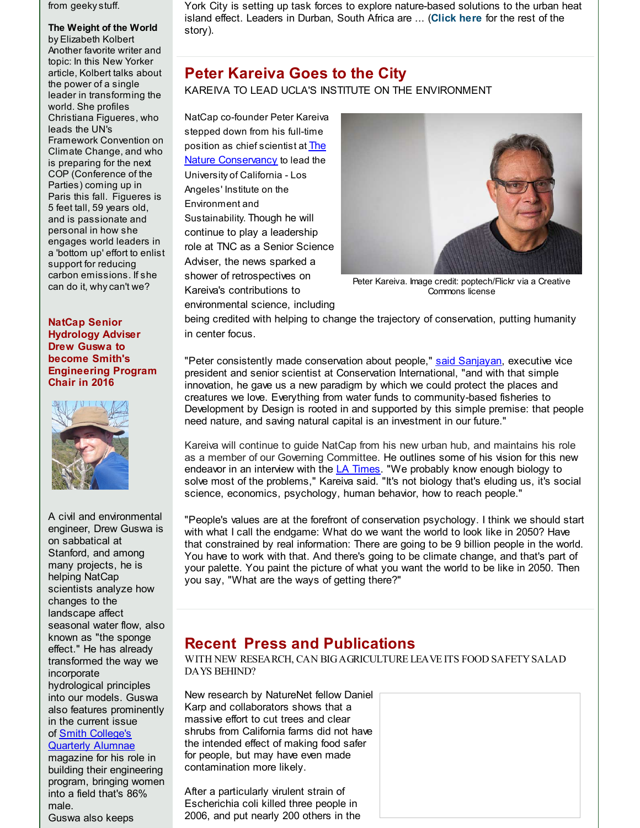from geekystuff.

**The Weight of the World** by Elizabeth Kolbert Another favorite writer and topic: In this New Yorker article, Kolbert talks about the power of a single leader in transforming the world. She profiles Christiana Figueres, who leads the UN's Framework Convention on Climate Change, and who is preparing for the next COP (Conference of the Parties) coming up in Paris this fall. Figueres is 5 feet tall, 59 years old, and is passionate and personal in how she engages world leaders in a 'bottom up' effort to enlist support for reducing carbon emissions. If she can do it, whycan't we?

#### **NatCap Senior Hydrology Adviser Drew Guswa to become Smith's Engineering Program Chair in 2016**



A civil and environmental engineer, Drew Guswa is on sabbatical at Stanford, and among many projects, he is helping NatCap scientists analyze how changes to the landscape affect seasonal water flow, also known as "the sponge effect." He has already transformed the way we incorporate hydrological principles into our models. Guswa also features prominently in the current issue of Smith College's [Quarterly](http://r20.rs6.net/tn.jsp?f=001a9EaJdokuUFZTSzpkXsAXIZ3RBI3Rd-deeoB3gO8ZnfD1VqXJTfGQ_ikZBL67bJiok8hO4Td4briensVFPAVMl8tjjYHXLN6AjKvpnHhK39xPuyge0GrKXurhTV1yR33azjqeF8-_hceYEsVASMFBL7Yojx9wHt7xQkZC4Y12HEUmu0nShpbirZ_T9gu5sA-l0tU5WkjVYUSoOIl5-98IJ9jSB_k9UxHl3gFmm5AnmphYueMVDmsGK2GUkiYnIYWSa8MFvji0KIHXmR9-3oWPLQZe8UjsZSl3_GYr_i2wOs9_Hd5nptv-mVypAygsFXAkAWhzkk6BvHvhk2tDdUvnz_zA_C7DebM&c=&ch=) Alumnae

magazine for his role in building their engineering program, bringing women into a field that's 86% male. Guswa also keeps

York City is setting up task forces to explore nature-based solutions to the urban heat island effect. Leaders in Durban, South Africa are ... (**[Click](http://r20.rs6.net/tn.jsp?f=001a9EaJdokuUFZTSzpkXsAXIZ3RBI3Rd-deeoB3gO8ZnfD1VqXJTfGQ_ikZBL67bJiJAEk3J-8aVemgdGNDTINBBngkpc_OuSF2CW91_xrTiQk_QQsIll7WCxebXNxZ_21BFDk-Ocy56Q8Zoy_tavBM4FPOIKqFADp7z07Zwf3bs9xHtiuMsoXq5BzT-uR6td0GmeXjl7KQCx5-AK8MleoKN-AZwwXtODUGmBk_TtERxjYb_29Wq-K3MOA5gk1FQ2LuFYge9sWEX8U_lXc4xzeYqyNQ4VyJd3DXayXUEp6QlS_V-GMaL2S-9Jv85R2sqkHbOCbvQcT1pYMLi63mhpZywMfJeeGw3tP&c=&ch=) here** for the rest of the story).

# **Peter Kareiva Goes to the City**

KAREIVA TO LEAD UCLA'S INSTITUTE ON THE ENVIRONMENT

NatCap co-founder Peter Kareiva stepped down from his full-time position as chief scientist at The Nature [Conservancy](http://r20.rs6.net/tn.jsp?f=001a9EaJdokuUFZTSzpkXsAXIZ3RBI3Rd-deeoB3gO8ZnfD1VqXJTfGQ_ikZBL67bJiv-rqxrvq8YgiJtAd0KnuIp24UagjUSyQcxlyRc_tWe96Obp6fYU6CJi88v_M-WR8NlEkNJ2mAefaIveB6TenWV1POR3B5KMye3twVs4UEn1JJTvtQxYZmDIK1kH45TnWMogV6ifbb1izcJbhCzxgJzGl72kPEgpNgFbxqEzCdOO5qUMkbFk52vgMoTI9RoazkzGVIAPt9k11dA8HjQq9zNOqyynR0rJDd-sVgR_fKq1l9uyUBH4dhpsznrPuYFIwi9QUX4OGvAQQGcjQmZ5G2Hod47ZRBc8cN4QdaIo6TJToCMrpyzJx5cZc6ZrwS5s6r7tQtSmXN4qTtJ1YQoeAYniWWSgi5RfsJs6j9fkKpqFkNksQISbDjg==&c=&ch=) to lead the University of California - Los Angeles' Institute on the Environment and Sustainability. Though he will continue to play a leadership role at TNC as a Senior Science Adviser, the news sparked a shower of retrospectives on Kareiva's contributions to environmental science, including



Peter Kareiva. Image credit: poptech/Flickr via a Creative Commons license

being credited with helping to change the trajectory of conservation, putting humanity in center focus.

"Peter consistently made conservation about people," said [Sanjayan](http://r20.rs6.net/tn.jsp?f=001a9EaJdokuUFZTSzpkXsAXIZ3RBI3Rd-deeoB3gO8ZnfD1VqXJTfGQ_ikZBL67bJi3G16jyduz_0rSYzJffD64QE3NzovSZmAHD4MmFxooi5uyHyW0ErCO2uSXyowusOcG7cBcfsDB8A_5FTrczeRMsLBiEhn9Qc7Cerek8b50cdeYHzLwk1didWKd01Q4p1GCDm4NTGyqLL0ad7yKDNAOuomU1QnkX-UqibuKGI7B7rBHvg9c4sQ7hGBk7x6LNwCMQ4XQsMcHFi6wKhCrSSZy6mv2WU3GXm68Zx4ah1MzvPA28x79YtPyjV8OdJLUBTUFJulVIQSP1wvRdC4DQH_g9Gc_A4KMNeXB0tnreiaahntzVq9x1gQSC8X6FE_HjtVUII5ng54CsU=&c=&ch=), executive vice president and senior scientist at Conservation International, "and with that simple innovation, he gave us a new paradigm by which we could protect the places and creatures we love. Everything from water funds to community-based fisheries to Development by Design is rooted in and supported by this simple premise: that people need nature, and saving natural capital is an investment in our future."

Kareiva will continue to guide NatCap from his new urban hub, and maintains his role as a member of our Governing Committee. He outlines some of his vision for this new endeavor in an interview with the  $L$ A [Times](http://r20.rs6.net/tn.jsp?f=001a9EaJdokuUFZTSzpkXsAXIZ3RBI3Rd-deeoB3gO8ZnfD1VqXJTfGQ_ikZBL67bJiDxOBmPYUMQo1Nkab5lsfQHLU_tzKTMsXqcnV39YDG58iiriXZKxVvDxyUGeOvjm9culL2M-XtBqvtrwy8UWQRSK8SSlGal6_2TTp_hGMZowwVtC1N3cbjVq2SfBs_uRyHTFJxJQb5ybauUPPWc_GMmNaGYmwjW7tgzNHhzWkuf4si_T0sc8sTC-Wf2NTgAeQvbE27Fn7taQoPIAyQFdPiceAUnQKrOzWSaC6c73B8pVvR74ANtbwbkrSqhu_iMI1Hk0japcUYFDucwP3EXE6XUg6AIaQHwjgCqt7RUDJ_7dQHSM2zlr1QIqWtsgL53Ff&c=&ch=). "We probably know enough biology to solve most of the problems," Kareiva said. "It's not biology that's eluding us, it's social science, economics, psychology, human behavior, how to reach people."

"People's values are at the forefront of conservation psychology. I think we should start with what I call the endgame: What do we want the world to look like in 2050? Have that constrained by real information: There are going to be 9 billion people in the world. You have to work with that. And there's going to be climate change, and that's part of your palette. You paint the picture of what you want the world to be like in 2050. Then you say, "What are the ways of getting there?"

# **Recent Press and Publications**

WITH NEW RESEARCH, CAN BIGAGRICULTURE LEAVE ITS FOOD SAFETYSALAD DAYS BEHIND?

New research by NatureNet fellow Daniel Karp and collaborators shows that a massive effort to cut trees and clear shrubs from California farms did not have the intended effect of making food safer for people, but may have even made contamination more likely.

After a particularly virulent strain of Escherichia coli killed three people in 2006, and put nearly 200 others in the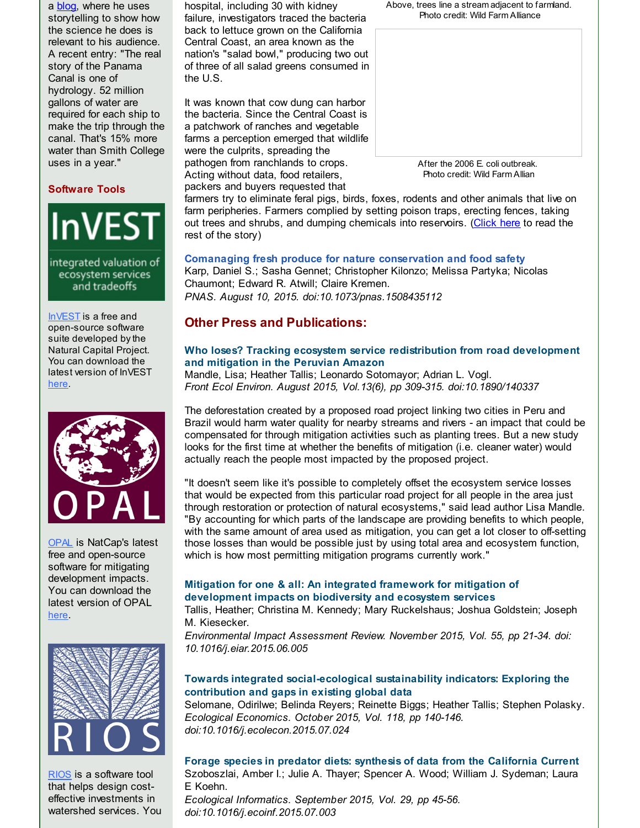a **[blog](http://r20.rs6.net/tn.jsp?f=001a9EaJdokuUFZTSzpkXsAXIZ3RBI3Rd-deeoB3gO8ZnfD1VqXJTfGQ_ikZBL67bJiiihKQZ13FL5x8Nxha4bx2rpxSDJIEG9_PbztVAVEG3QiiGc_mKTAMCJt649RsPYb4wZE6b8b4XTmLMCRxu_WMiZcS2WyjHQIo4Gjh6bATBEA3fKMnSL_xEe-hOsEG940NcOrR0VIk2v0EYVTKLhkiRtEzrBVPtgTrygMcKTPC7XwEBSI-JDEklXY1nld4gweXuhLwakH6ylIO_Y2HVvyW43rYxGafBjnrv-EoDYIYC2FfUlgcB2Xkr8XgrbW9UFQCabtXqyA0d598Wo11NdC4y_GIwAmANPy8v0TJkBR_cOb8CoPIoW47KAoUSQA_A-E7zxyd5lF-uQ=&c=&ch=)**, where he uses storytelling to show how the science he does is relevant to his audience. A recent entry: "The real story of the Panama Canal is one of hydrology. 52 million gallons of water are required for each ship to make the trip through the canal. That's 15% more water than Smith College uses in a year."

### **Software Tools**



ecosystem services and tradeoffs

[InVEST](http://r20.rs6.net/tn.jsp?f=001a9EaJdokuUFZTSzpkXsAXIZ3RBI3Rd-deeoB3gO8ZnfD1VqXJTfGQ6tByOyQggrIE7ecEhgVrLJllopYtw9L6GW682pOsW1rRQJYYTzjPIyVlN3YsrWkKI01bn-HBIMXR5Ip74-520SdoHM2C7Qlzzyc6GAvNHQPlOwPZsKbh-Y6iQMjbSuSd1Wim7opFKrPeSqt19IdfGC4OH3t-59b_2KjwCfp9dsJrcGwRUW3LL5b9xUa8omU6p3KcQY2QKHTvexhCbNhkmsfnxH_YjadmLMjEZYrVo8BTyBU0SAtiqRGKNoh_pMbgF3NEy0PS6aQ5UyDPyV0MLykV-hkNO_Zng==&c=&ch=) is a free and open-source software suite developed by the Natural Capital Project. You can download the latest version of InVEST [here](http://r20.rs6.net/tn.jsp?f=001a9EaJdokuUFZTSzpkXsAXIZ3RBI3Rd-deeoB3gO8ZnfD1VqXJTfGQzNo-UNnPjho4vFaH6dzcaWirlbSqwbj0w2O7EaEPxfzPKqXl8N3y6QvTPhR5xo-F0YL-sDe9i8aGoCD2uv0WHsmfMIAVcrb12BVOUxWaEgZkfRqEFC1e5Q9kpBTBpc1mHaYMjKDJvdGrjqrimfmI835L_kA6W3g61JZ1A9q9u24RCU8VpD84kbjyE9HCMYg_k2d6shqVUJ5w0YO3cUR3kPnRxqWcWc1eYCxuthGeD9_DLRWXPoB35mj_yFkVfxv3-tsc-HcHh5tmb2aJrqnZooLXP0olVeRLQ==&c=&ch=).



[OPAL](http://r20.rs6.net/tn.jsp?f=001a9EaJdokuUFZTSzpkXsAXIZ3RBI3Rd-deeoB3gO8ZnfD1VqXJTfGQ0gKE_by9XNsua21nfmASIoNJUxiVquJt09WzkDr4kVw0BAjDd1S4BFnaKjN9sXh-VT-u1o2lCrIKvuoc6JQJZobrnndzHgqFwPV2bbkhv4HZeOrDLeT8UUcS3HttPEqin5Zn1XBMlCwbBH0sNNNWArNVXDfPhPQsDhtNik_btmTlfuHxk4Mt8r-cuFEapuI79nvyBsGQ1H6DnnWvuBLCeR65yCGaX6_Ck34iz0ZbuXdd9jQtJ437ztaJe-iCeDvxOlIL6ibBKIOWmuAXazICxgmjcvnRWXAwg==&c=&ch=) is NatCap's latest free and open-source software for mitigating development impacts. You can download the latest version of OPAL [here](http://r20.rs6.net/tn.jsp?f=001a9EaJdokuUFZTSzpkXsAXIZ3RBI3Rd-deeoB3gO8ZnfD1VqXJTfGQ5wX1zC8BwYiczIBb_GpSrLHoc05LMDRVhDs6mrjDsiwKu0VKrjuEhifgz-cZlbJffBtrCOZWQ287yKjy7U2_ywVbu5LIqHyybwp0Itpeu-V_p7Wl-sd7GrKX0kIrB3e2TPsPYOuexrMXLURas5kz_7bQmexltOi3GPhUgXTiWnJUse3BbwFFWmNiBhe8Sxo9GPQq-owsazMBwdBMsodw4LTU_oqXLk5mdLmQ7BLLZPYCJ_L0A70jrBLaSwjsQSbfQdloNaVP0q6GzHGuO4zdyeDjxnCMoSkzWvaNN-0UvaI&c=&ch=).



[RIOS](http://r20.rs6.net/tn.jsp?f=001a9EaJdokuUFZTSzpkXsAXIZ3RBI3Rd-deeoB3gO8ZnfD1VqXJTfGQ5bB5PnUeOBB67En0zYBbw4xcLJNSwxlj1KVWIF2-PPD00OSRWFEX8EsuTLCK5T8_qsg5WKKcui-G1nuUpXXMZghhuKt-dYApZ5JIu7-8d_4j9DiFOT8qXnfs36rClJuxO6s6wdJY90Ktghq16VswjhiEoK4RvjuSw_EfVyYdPO50v_MYSUX_BGPGj5t07f9gC9h3FIst-6ybu6sg6a0gOWee0jRwCleM6Z5IzavR7t8SEsZIkfg4Gfnk_PDdWIuKm13F9Ak0J_izbtME5atCVxY-mX0whx2Ow==&c=&ch=) is a software tool that helps design costeffective investments in watershed services. You

hospital, including 30 with kidney failure, investigators traced the bacteria back to lettuce grown on the California Central Coast, an area known as the nation's "salad bowl," producing two out of three of all salad greens consumed in the U.S.

It was known that cow dung can harbor the bacteria. Since the Central Coast is a patchwork of ranches and vegetable farms a perception emerged that wildlife were the culprits, spreading the pathogen from ranchlands to crops. Acting without data, food retailers, packers and buyers requested that

Above, trees line a stream adjacent to farmland. Photo credit: Wild Farm Alliance



Photo credit: Wild Farm Allian

farmers try to eliminate feral pigs, birds, foxes, rodents and other animals that live on farm peripheries. Farmers complied by setting poison traps, erecting fences, taking out trees and shrubs, and dumping chemicals into reservoirs. [\(Click](http://r20.rs6.net/tn.jsp?f=001a9EaJdokuUFZTSzpkXsAXIZ3RBI3Rd-deeoB3gO8ZnfD1VqXJTfGQ_ikZBL67bJiJAEk3J-8aVemgdGNDTINBBngkpc_OuSF2CW91_xrTiQk_QQsIll7WCxebXNxZ_21BFDk-Ocy56Q8Zoy_tavBM4FPOIKqFADp7z07Zwf3bs9xHtiuMsoXq5BzT-uR6td0GmeXjl7KQCx5-AK8MleoKN-AZwwXtODUGmBk_TtERxjYb_29Wq-K3MOA5gk1FQ2LuFYge9sWEX8U_lXc4xzeYqyNQ4VyJd3DXayXUEp6QlS_V-GMaL2S-9Jv85R2sqkHbOCbvQcT1pYMLi63mhpZywMfJeeGw3tP&c=&ch=) here to read the rest of the story)

### **Comanaging fresh produce for nature conservation and food safety**

Karp, Daniel S.; Sasha Gennet; Christopher Kilonzo; Melissa Partyka; Nicolas Chaumont; Edward R. Atwill; Claire Kremen. *PNAS. August 10, 2015. doi:10.1073/pnas.1508435112*

## **Other Press and Publications:**

### **Who loses? Tracking ecosystem service [redistribution](http://r20.rs6.net/tn.jsp?f=001a9EaJdokuUFZTSzpkXsAXIZ3RBI3Rd-deeoB3gO8ZnfD1VqXJTfGQ_ikZBL67bJiGRUDplb24-72pZEv_iP5csQN7c5BlPVrd5YZ0RqfNDPf7mEfMpnSD9jrTZKwkjjeI1hQX7SQlqnMx5jEWZH-dih30W8jCRfACR2Rw8I7W6UK787maqf3nf3QDf0LkykVtUjbdq_yzE-LhEOjqLjeTwyepLI_NxzpUh_zoyRW6t6tLTPNxlrVVhdJnbv43-O8OA4srAF9yxlCqWcOZ6-xomA6bzfbvKj4VcOH4BS-eHjI6SaHc2I0xFs7m-5zx88V9AT_dV8lZUtlk6DnNAOyTg==&c=&ch=) from road development and mitigation in the Peruvian Amazon**

Mandle, Lisa; Heather Tallis; Leonardo Sotomayor; Adrian L. Vogl. *Front Ecol Environ. August 2015, Vol.13(6), pp 309-315. doi:10.1890/140337*

The deforestation created by a proposed road project linking two cities in Peru and Brazil would harm water quality for nearby streams and rivers - an impact that could be compensated for through mitigation activities such as planting trees. But a new study looks for the first time at whether the benefits of mitigation (i.e. cleaner water) would actually reach the people most impacted by the proposed project.

"It doesn't seem like it's possible to completely offset the ecosystem service losses that would be expected from this particular road project for all people in the area just through restoration or protection of natural ecosystems," said lead author Lisa Mandle. "By accounting for which parts of the landscape are providing benefits to which people, with the same amount of area used as mitigation, you can get a lot closer to off-setting those losses than would be possible just by using total area and ecosystem function, which is how most permitting mitigation programs currently work."

### **Mitigation for one & all: An integrated framework for mitigation of [development](http://r20.rs6.net/tn.jsp?f=001a9EaJdokuUFZTSzpkXsAXIZ3RBI3Rd-deeoB3gO8ZnfD1VqXJTfGQ_ikZBL67bJicnmFAKSlxUKPhl8XRy6b9E3L_So0AY-jJEGydndvR9bkTa2vBzfLTciD7-diUePLgSANAzlGSibd92kDX5NygL_vxRKzrrLGUH_Ht9bZDb3mTIgOypfUFYvnXjjmGm3ofT7TOrivSWCPwlTaZajsLELED80NBYaZMHbOqrMT4Lx0P9NDyRMiUCVUXxACeH_QeX3d-othjU0QYch7uGF0_38dJn0_qNc0eRtWETqDMxYF7ts_RL3nu8RyPR-IV2-CLIMT1mL1wLR57YFh4Mot8CDAThYqycaSLojWPCCmKtw=&c=&ch=) impacts on biodiversity and ecosystem services**

Tallis, Heather; Christina M. Kennedy; Mary Ruckelshaus; Joshua Goldstein; Joseph M. Kiesecker.

*Environmental Impact Assessment Review. November 2015, Vol. 55, pp 21-34. doi: 10.1016/j.eiar.2015.06.005*

### **Towards integrated [social-ecological](http://r20.rs6.net/tn.jsp?f=001a9EaJdokuUFZTSzpkXsAXIZ3RBI3Rd-deeoB3gO8ZnfD1VqXJTfGQ_ikZBL67bJibmErygbbq1Fx49zcWfrI5exHTNnF5kadEiKrABcAFmkVlfSZBQ78JnBXB2G5iVzmHPTy1bEF82ZrYFkCJ29x-HbY4_inDhTM8W1ArMUOgXJNqn_Ij4pNaxN0AKbEdWaVOu-N9-vQQ6wYJd8-QE16S7PRODQ7mcKNkt9LohqA5AAOILOitB-ZB2QqsSn6BoQNCTPN8_NKkABpmf72l5d8B0JXjzxMaiWYzpX-6iRZLDdN7KtKWtQtprMXU5ZmRcG8V0lfN8kzbLG-5WTmVl81cYfLgt6f9U-WG048uayJZtq9R5ceL0maGA==&c=&ch=) sustainability indicators: Exploring the contribution and gaps in existing global data**

Selomane, Odirilwe; Belinda Reyers; Reinette Biggs; Heather Tallis; Stephen Polasky. *Ecological Economics. October 2015, Vol. 118, pp 140-146. doi:10.1016/j.ecolecon.2015.07.024*

**Forage species in predator diets: synthesis of data from the [California](http://r20.rs6.net/tn.jsp?f=001a9EaJdokuUFZTSzpkXsAXIZ3RBI3Rd-deeoB3gO8ZnfD1VqXJTfGQ_ikZBL67bJihjXs3yC70cIoDvys1a2iYZf2r2p0dpv4-4_sCO7l0rLDM9Poz460cvVvur25BILdehv319oEii0_AefDJYXAvxsP2NTx0tBw_3f78qqz6tUy4R5riT5hR_Gmh3aCBGewag9GtFy-tO1JMK_flOB9VVV2l2bM9BLdMJ8Dzfq3tLapyzcCJ1sEaWdcfwo6XuDZn-cq4NyTDmbOcV29jl2uGZ2QQ1_5JB3WdJB5rhilPsW0bslbxXRH9yXjqvDCu16Mk0RiSKMN__MDoPDQfqytQA==&c=&ch=) Current** Szoboszlai, Amber I.; Julie A. Thayer; Spencer A. Wood; William J. Sydeman; Laura E Koehn.

*Ecological Informatics. September 2015, Vol. 29, pp 45-56. doi:10.1016/j.ecoinf.2015.07.003*